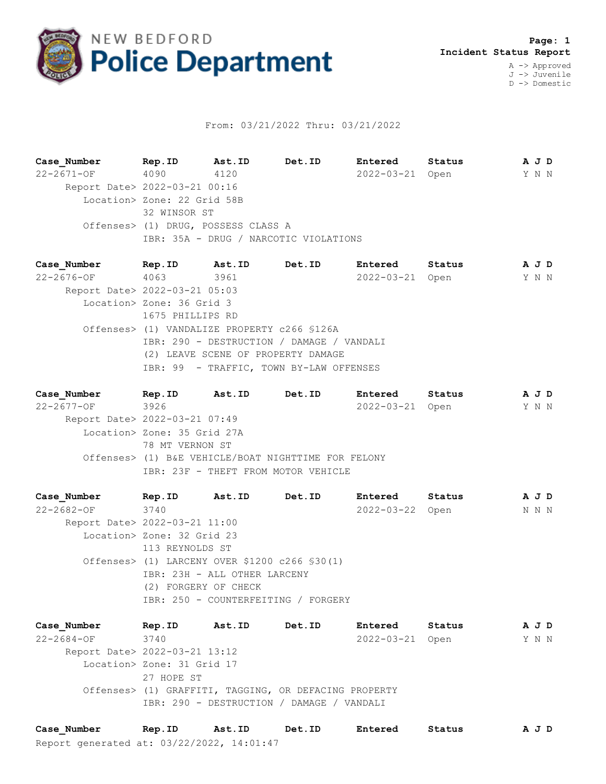

## From: 03/21/2022 Thru: 03/21/2022

**Case\_Number Rep.ID Ast.ID Det.ID Entered Status A J D** 22-2671-OF 4090 4120 2022-03-21 Open Y N N Report Date> 2022-03-21 00:16 Location> Zone: 22 Grid 58B 32 WINSOR ST Offenses> (1) DRUG, POSSESS CLASS A IBR: 35A - DRUG / NARCOTIC VIOLATIONS

**Case\_Number Rep.ID Ast.ID Det.ID Entered Status A J D** 22-2676-OF 4063 3961 2022-03-21 Open Y N N Report Date> 2022-03-21 05:03 Location> Zone: 36 Grid 3 1675 PHILLIPS RD Offenses> (1) VANDALIZE PROPERTY c266 §126A IBR: 290 - DESTRUCTION / DAMAGE / VANDALI (2) LEAVE SCENE OF PROPERTY DAMAGE IBR: 99 - TRAFFIC, TOWN BY-LAW OFFENSES

**Case\_Number Rep.ID Ast.ID Det.ID Entered Status A J D** 22-2677-OF 3926 2022-03-21 Open Y N N Report Date> 2022-03-21 07:49 Location> Zone: 35 Grid 27A 78 MT VERNON ST Offenses> (1) B&E VEHICLE/BOAT NIGHTTIME FOR FELONY IBR: 23F - THEFT FROM MOTOR VEHICLE

**Case\_Number Rep.ID Ast.ID Det.ID Entered Status A J D** 22-2682-OF 3740 2022-03-22 Open N N N Report Date> 2022-03-21 11:00 Location> Zone: 32 Grid 23 113 REYNOLDS ST Offenses> (1) LARCENY OVER \$1200 c266 §30(1) IBR: 23H - ALL OTHER LARCENY (2) FORGERY OF CHECK IBR: 250 - COUNTERFEITING / FORGERY

**Case\_Number Rep.ID Ast.ID Det.ID Entered Status A J D** 22-2684-OF 3740 2022-03-21 Open Y N N Report Date> 2022-03-21 13:12 Location> Zone: 31 Grid 17 27 HOPE ST Offenses> (1) GRAFFITI, TAGGING, OR DEFACING PROPERTY IBR: 290 - DESTRUCTION / DAMAGE / VANDALI

Report generated at: 03/22/2022, 14:01:47 **Case\_Number Rep.ID Ast.ID Det.ID Entered Status A J D**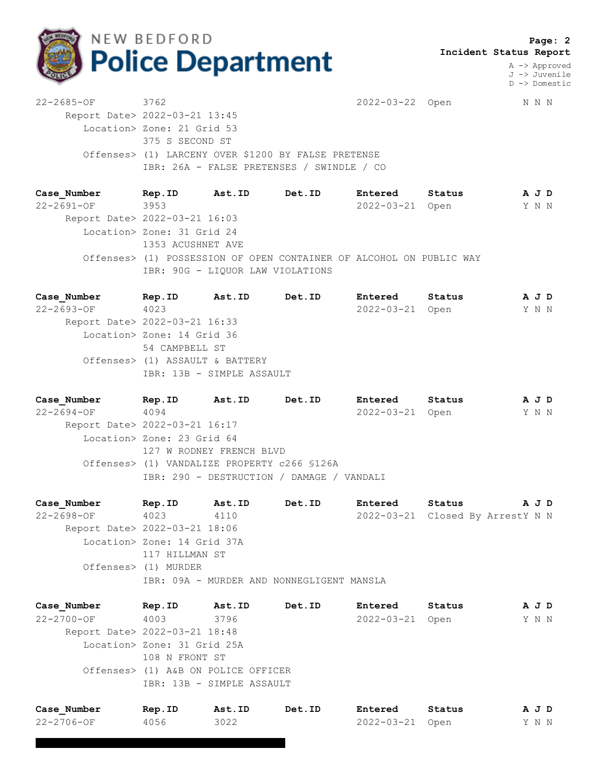

 **Page: 2 Incident Status Report**

> A -> Approved J -> Juvenile D -> Domestic

22-2685-OF 3762 2022-03-22 Open N N N Report Date> 2022-03-21 13:45 Location> Zone: 21 Grid 53 375 S SECOND ST Offenses> (1) LARCENY OVER \$1200 BY FALSE PRETENSE IBR: 26A - FALSE PRETENSES / SWINDLE / CO

**Case\_Number Rep.ID Ast.ID Det.ID Entered Status A J D** 22-2691-OF 3953 2022-03-21 Open Y N N Report Date> 2022-03-21 16:03 Location> Zone: 31 Grid 24 1353 ACUSHNET AVE Offenses> (1) POSSESSION OF OPEN CONTAINER OF ALCOHOL ON PUBLIC WAY IBR: 90G - LIQUOR LAW VIOLATIONS

**Case\_Number Rep.ID Ast.ID Det.ID Entered Status A J D** 22-2693-OF 4023 2022-03-21 Open Y N N Report Date> 2022-03-21 16:33 Location> Zone: 14 Grid 36 54 CAMPBELL ST Offenses> (1) ASSAULT & BATTERY IBR: 13B - SIMPLE ASSAULT

**Case\_Number Rep.ID Ast.ID Det.ID Entered Status A J D** 22-2694-OF 4094 2022-03-21 Open Y N N Report Date> 2022-03-21 16:17 Location> Zone: 23 Grid 64 127 W RODNEY FRENCH BLVD Offenses> (1) VANDALIZE PROPERTY c266 §126A IBR: 290 - DESTRUCTION / DAMAGE / VANDALI

**Case\_Number Rep.ID Ast.ID Det.ID Entered Status A J D** 22-2698-OF 4023 4110 2022-03-21 Closed By ArrestY N N Report Date> 2022-03-21 18:06 Location> Zone: 14 Grid 37A 117 HILLMAN ST Offenses> (1) MURDER IBR: 09A - MURDER AND NONNEGLIGENT MANSLA

**Case\_Number Rep.ID Ast.ID Det.ID Entered Status A J D** 22-2700-OF 4003 3796 2022-03-21 Open Y N N Report Date> 2022-03-21 18:48 Location> Zone: 31 Grid 25A 108 N FRONT ST Offenses> (1) A&B ON POLICE OFFICER IBR: 13B - SIMPLE ASSAULT

| Case Number | Rep.ID | Ast.ID | Det.ID | <b>Entered</b>  | Status | AJD   |  |
|-------------|--------|--------|--------|-----------------|--------|-------|--|
| 22-2706-OF  | 4056   | 3022   |        | 2022-03-21 Open |        | Y N N |  |